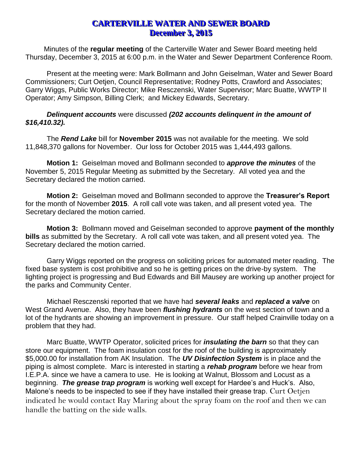## **CARTERVILLE WATER AND SEWER BOARD December 3, 2015**

Minutes of the **regular meeting** of the Carterville Water and Sewer Board meeting held Thursday, December 3, 2015 at 6:00 p.m. in the Water and Sewer Department Conference Room.

Present at the meeting were: Mark Bollmann and John Geiselman, Water and Sewer Board Commissioners; Curt Oetjen, Council Representative; Rodney Potts, Crawford and Associates; Garry Wiggs, Public Works Director; Mike Resczenski, Water Supervisor; Marc Buatte, WWTP II Operator; Amy Simpson, Billing Clerk; and Mickey Edwards, Secretary.

## *Delinquent accounts* were discussed *(202 accounts delinquent in the amount of \$16,410.32).*

The *Rend Lake* bill for **November 2015** was not available for the meeting. We sold 11,848,370 gallons for November. Our loss for October 2015 was 1,444,493 gallons.

**Motion 1:** Geiselman moved and Bollmann seconded to *approve the minutes* of the November 5, 2015 Regular Meeting as submitted by the Secretary. All voted yea and the Secretary declared the motion carried.

**Motion 2:** Geiselman moved and Bollmann seconded to approve the **Treasurer's Report** for the month of November **2015**. A roll call vote was taken, and all present voted yea. The Secretary declared the motion carried.

**Motion 3:** Bollmann moved and Geiselman seconded to approve **payment of the monthly bills** as submitted by the Secretary. A roll call vote was taken, and all present voted yea. The Secretary declared the motion carried.

Garry Wiggs reported on the progress on soliciting prices for automated meter reading. The fixed base system is cost prohibitive and so he is getting prices on the drive-by system. The lighting project is progressing and Bud Edwards and Bill Mausey are working up another project for the parks and Community Center.

Michael Resczenski reported that we have had *several leaks* and *replaced a valve* on West Grand Avenue. Also, they have been *flushing hydrants* on the west section of town and a lot of the hydrants are showing an improvement in pressure. Our staff helped Crainville today on a problem that they had.

Marc Buatte, WWTP Operator, solicited prices for *insulating the barn* so that they can store our equipment. The foam insulation cost for the roof of the building is approximately \$5,000.00 for installation from AK Insulation. The *UV Disinfection System* is in place and the piping is almost complete. Marc is interested in starting a *rehab program* before we hear from I.E.P.A. since we have a camera to use. He is looking at Walnut, Blossom and Locust as a beginning. *The grease trap program* is working well except for Hardee's and Huck's. Also, Malone's needs to be inspected to see if they have installed their grease trap. Curt Oetjen indicated he would contact Ray Maring about the spray foam on the roof and then we can handle the batting on the side walls.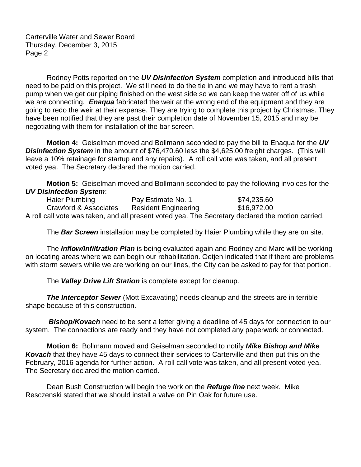Carterville Water and Sewer Board Thursday, December 3, 2015 Page 2

Rodney Potts reported on the *UV Disinfection System* completion and introduced bills that need to be paid on this project. We still need to do the tie in and we may have to rent a trash pump when we get our piping finished on the west side so we can keep the water off of us while we are connecting. *Enaqua* fabricated the weir at the wrong end of the equipment and they are going to redo the weir at their expense. They are trying to complete this project by Christmas. They have been notified that they are past their completion date of November 15, 2015 and may be negotiating with them for installation of the bar screen.

**Motion 4:** Geiselman moved and Bollmann seconded to pay the bill to Enaqua for the *UV Disinfection System* in the amount of \$76,470.60 less the \$4,625.00 freight charges. (This will leave a 10% retainage for startup and any repairs). A roll call vote was taken, and all present voted yea. The Secretary declared the motion carried.

**Motion 5:** Geiselman moved and Bollmann seconded to pay the following invoices for the *UV Disinfection System*:

Haier Plumbing **Pay Estimate No. 1** \$74,235.60 Crawford & Associates Resident Engineering \$16,972.00 A roll call vote was taken, and all present voted yea. The Secretary declared the motion carried.

The *Bar Screen* installation may be completed by Haier Plumbing while they are on site.

The *Inflow/Infiltration Plan* is being evaluated again and Rodney and Marc will be working on locating areas where we can begin our rehabilitation. Oetjen indicated that if there are problems with storm sewers while we are working on our lines, the City can be asked to pay for that portion.

The *Valley Drive Lift Station* is complete except for cleanup.

**The Interceptor Sewer** (Mott Excavating) needs cleanup and the streets are in terrible shape because of this construction.

**Bishop/Kovach** need to be sent a letter giving a deadline of 45 days for connection to our system. The connections are ready and they have not completed any paperwork or connected.

**Motion 6:** Bollmann moved and Geiselman seconded to notify *Mike Bishop and Mike Kovach* that they have 45 days to connect their services to Carterville and then put this on the February, 2016 agenda for further action. A roll call vote was taken, and all present voted yea. The Secretary declared the motion carried.

Dean Bush Construction will begin the work on the *Refuge line* next week. Mike Resczenski stated that we should install a valve on Pin Oak for future use.